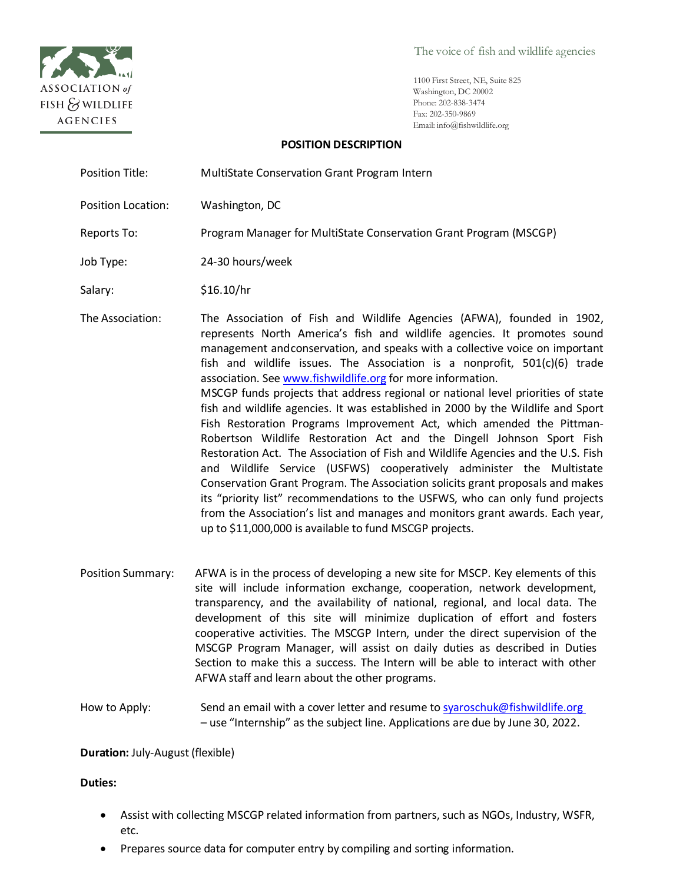

The voice of fish and wildlife agencies

1100 First Street, NE, Suite 825 Washington, DC 20002 Phone: 202-838-3474 Fax: 202-350-9869 Email: [info@fishwildlife.org](mailto:info@fishwildlife.org)

## **POSITION DESCRIPTION**

| Position Title:           | MultiState Conservation Grant Program Intern                                                                                                                                                                                                                                                                                                                                                                                                                                                                                                                                                                                                                                                                                                                                                                                                                                                                                                                                                                                                                                                                                                                                        |
|---------------------------|-------------------------------------------------------------------------------------------------------------------------------------------------------------------------------------------------------------------------------------------------------------------------------------------------------------------------------------------------------------------------------------------------------------------------------------------------------------------------------------------------------------------------------------------------------------------------------------------------------------------------------------------------------------------------------------------------------------------------------------------------------------------------------------------------------------------------------------------------------------------------------------------------------------------------------------------------------------------------------------------------------------------------------------------------------------------------------------------------------------------------------------------------------------------------------------|
| <b>Position Location:</b> | Washington, DC                                                                                                                                                                                                                                                                                                                                                                                                                                                                                                                                                                                                                                                                                                                                                                                                                                                                                                                                                                                                                                                                                                                                                                      |
| Reports To:               | Program Manager for MultiState Conservation Grant Program (MSCGP)                                                                                                                                                                                                                                                                                                                                                                                                                                                                                                                                                                                                                                                                                                                                                                                                                                                                                                                                                                                                                                                                                                                   |
| Job Type:                 | 24-30 hours/week                                                                                                                                                                                                                                                                                                                                                                                                                                                                                                                                                                                                                                                                                                                                                                                                                                                                                                                                                                                                                                                                                                                                                                    |
| Salary:                   | \$16.10/hr                                                                                                                                                                                                                                                                                                                                                                                                                                                                                                                                                                                                                                                                                                                                                                                                                                                                                                                                                                                                                                                                                                                                                                          |
| The Association:          | The Association of Fish and Wildlife Agencies (AFWA), founded in 1902,<br>represents North America's fish and wildlife agencies. It promotes sound<br>management andconservation, and speaks with a collective voice on important<br>fish and wildlife issues. The Association is a nonprofit, $501(c)(6)$ trade<br>association. See www.fishwildlife.org for more information.<br>MSCGP funds projects that address regional or national level priorities of state<br>fish and wildlife agencies. It was established in 2000 by the Wildlife and Sport<br>Fish Restoration Programs Improvement Act, which amended the Pittman-<br>Robertson Wildlife Restoration Act and the Dingell Johnson Sport Fish<br>Restoration Act. The Association of Fish and Wildlife Agencies and the U.S. Fish<br>and Wildlife Service (USFWS) cooperatively administer the Multistate<br>Conservation Grant Program. The Association solicits grant proposals and makes<br>its "priority list" recommendations to the USFWS, who can only fund projects<br>from the Association's list and manages and monitors grant awards. Each year,<br>up to \$11,000,000 is available to fund MSCGP projects. |

Position Summary: AFWA is in the process of developing a new site for MSCP. Key elements of this site will include information exchange, cooperation, network development, transparency, and the availability of national, regional, and local data. The development of this site will minimize duplication of effort and fosters cooperative activities. The MSCGP Intern, under the direct supervision of the MSCGP Program Manager, will assist on daily duties as described in Duties Section to make this a success. The Intern will be able to interact with other AFWA staff and learn about the other programs.

How to Apply: Send an email with a cover letter and resume to syaroschuk@fishwildlife.org – use "Internship" as the subject line. Applications are due by June 30, 2022.

**Duration:** July-August (flexible)

**Duties:**

- Assist with collecting MSCGP related information from partners, such as NGOs, Industry, WSFR, etc.
- Prepares source data for computer entry by compiling and sorting information.